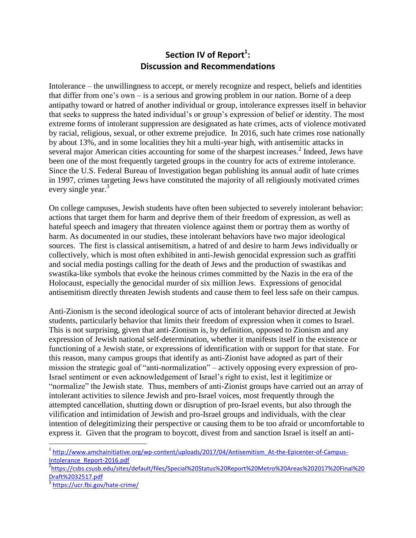## **Section IV of Report<sup>1</sup> : Discussion and Recommendations**

Intolerance – the unwillingness to accept, or merely recognize and respect, beliefs and identities that differ from one's own – is a serious and growing problem in our nation. Borne of a deep antipathy toward or hatred of another individual or group, intolerance expresses itself in behavior that seeks to suppress the hated individual's or group's expression of belief or identity. The most extreme forms of intolerant suppression are designated as hate crimes, acts of violence motivated by racial, religious, sexual, or other extreme prejudice. In 2016, such hate crimes rose nationally by about 13%, and in some localities they hit a multi-year high, with antisemitic attacks in several major American cities accounting for some of the sharpest increases.<sup>2</sup> Indeed, Jews have been one of the most frequently targeted groups in the country for acts of extreme intolerance. Since the U.S. Federal Bureau of Investigation began publishing its annual audit of hate crimes in 1997, crimes targeting Jews have constituted the majority of all religiously motivated crimes every single year.<sup>3</sup>

On college campuses, Jewish students have often been subjected to severely intolerant behavior: actions that target them for harm and deprive them of their freedom of expression, as well as hateful speech and imagery that threaten violence against them or portray them as worthy of harm. As documented in our studies, these intolerant behaviors have two major ideological sources. The first is classical antisemitism, a hatred of and desire to harm Jews individually or collectively, which is most often exhibited in anti-Jewish genocidal expression such as graffiti and social media postings calling for the death of Jews and the production of swastikas and swastika-like symbols that evoke the heinous crimes committed by the Nazis in the era of the Holocaust, especially the genocidal murder of six million Jews. Expressions of genocidal antisemitism directly threaten Jewish students and cause them to feel less safe on their campus.

Anti-Zionism is the second ideological source of acts of intolerant behavior directed at Jewish students, particularly behavior that limits their freedom of expression when it comes to Israel. This is not surprising, given that anti-Zionism is, by definition, opposed to Zionism and any expression of Jewish national self-determination, whether it manifests itself in the existence or functioning of a Jewish state, or expressions of identification with or support for that state. For this reason, many campus groups that identify as anti-Zionist have adopted as part of their mission the strategic goal of "anti-normalization" – actively opposing every expression of pro-Israel sentiment or even acknowledgement of Israel's right to exist, lest it legitimize or "normalize" the Jewish state. Thus, members of anti-Zionist groups have carried out an array of intolerant activities to silence Jewish and pro-Israel voices, most frequently through the attempted cancellation, shutting down or disruption of pro-Israel events, but also through the vilification and intimidation of Jewish and pro-Israel groups and individuals, with the clear intention of delegitimizing their perspective or causing them to be too afraid or uncomfortable to express it. Given that the program to boycott, divest from and sanction Israel is itself an anti-

 $\overline{\phantom{a}}$ <sup>1</sup> [http://www.amchainitiative.org/wp-content/uploads/2017/04/Antisemitism\\_At-the-Epicenter-of-Campus-](http://www.amchainitiative.org/wp-content/uploads/2017/04/Antisemitism_At-the-Epicenter-of-Campus-Intolerance_Report-2016.pdf)[Intolerance\\_Report-2016.pdf](http://www.amchainitiative.org/wp-content/uploads/2017/04/Antisemitism_At-the-Epicenter-of-Campus-Intolerance_Report-2016.pdf)

2 [https://csbs.csusb.edu/sites/default/files/Special%20Status%20Report%20Metro%20Areas%202017%20Final%20](https://csbs.csusb.edu/sites/default/files/Special%20Status%20Report%20Metro%20Areas%202017%20Final%20Draft%2032517.pdf) [Draft%2032517.pdf](https://csbs.csusb.edu/sites/default/files/Special%20Status%20Report%20Metro%20Areas%202017%20Final%20Draft%2032517.pdf)

<sup>&</sup>lt;sup>3</sup> <https://ucr.fbi.gov/hate-crime/>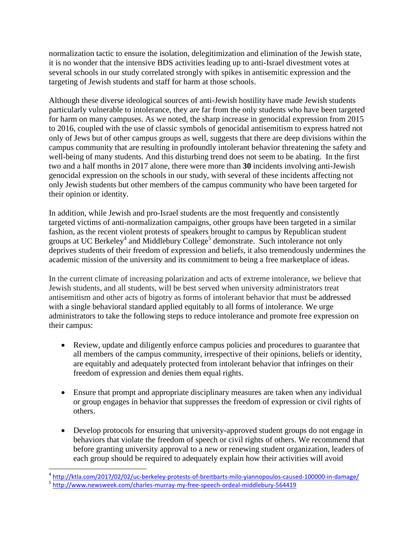normalization tactic to ensure the isolation, delegitimization and elimination of the Jewish state, it is no wonder that the intensive BDS activities leading up to anti-Israel divestment votes at several schools in our study correlated strongly with spikes in antisemitic expression and the targeting of Jewish students and staff for harm at those schools.

Although these diverse ideological sources of anti-Jewish hostility have made Jewish students particularly vulnerable to intolerance, they are far from the only students who have been targeted for harm on many campuses. As we noted, the sharp increase in genocidal expression from 2015 to 2016, coupled with the use of classic symbols of genocidal antisemitism to express hatred not only of Jews but of other campus groups as well, suggests that there are deep divisions within the campus community that are resulting in profoundly intolerant behavior threatening the safety and well-being of many students. And this disturbing trend does not seem to be abating. In the first two and a half months in 2017 alone, there were more than **30** incidents involving anti-Jewish genocidal expression on the schools in our study, with several of these incidents affecting not only Jewish students but other members of the campus community who have been targeted for their opinion or identity.

In addition, while Jewish and pro-Israel students are the most frequently and consistently targeted victims of anti-normalization campaigns, other groups have been targeted in a similar fashion, as the recent violent protests of speakers brought to campus by Republican student groups at UC Berkeley<sup>4</sup> and Middlebury College<sup>5</sup> demonstrate. Such intolerance not only deprives students of their freedom of expression and beliefs, it also tremendously undermines the academic mission of the university and its commitment to being a free marketplace of ideas.

In the current climate of increasing polarization and acts of extreme intolerance, we believe that Jewish students, and all students, will be best served when university administrators treat antisemitism and other acts of bigotry as forms of intolerant behavior that must be addressed with a single behavioral standard applied equitably to all forms of intolerance. We urge administrators to take the following steps to reduce intolerance and promote free expression on their campus:

- Review, update and diligently enforce campus policies and procedures to guarantee that all members of the campus community, irrespective of their opinions, beliefs or identity, are equitably and adequately protected from intolerant behavior that infringes on their freedom of expression and denies them equal rights.
- Ensure that prompt and appropriate disciplinary measures are taken when any individual or group engages in behavior that suppresses the freedom of expression or civil rights of others.
- Develop protocols for ensuring that university-approved student groups do not engage in behaviors that violate the freedom of speech or civil rights of others. We recommend that before granting university approval to a new or renewing student organization, leaders of each group should be required to adequately explain how their activities will avoid

l 4 <http://ktla.com/2017/02/02/uc-berkeley-protests-of-breitbarts-milo-yiannopoulos-caused-100000-in-damage/>

<sup>&</sup>lt;sup>5</sup> <http://www.newsweek.com/charles-murray-my-free-speech-ordeal-middlebury-564419>